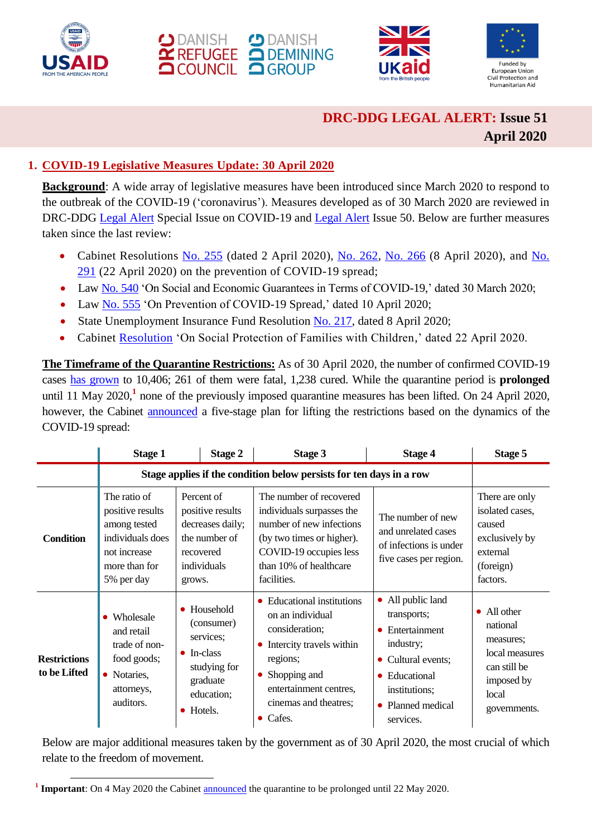





# **DRC-DDG LEGAL ALERT: Issue 51 April 2020**

# **1. COVID-19 Legislative Measures Update: 30 April 2020**

**Background**: A wide array of legislative measures have been introduced since March 2020 to respond to the outbreak of the COVID-19 ('coronavirus'). Measures developed as of 30 March 2020 are reviewed in DRC-DDG [Legal Alert](https://reliefweb.int/report/ukraine/ukraine-drc-ddg-legal-alert-issue-50-february-march-2020-enruuk) Special Issue on COVID-19 and Legal Alert Issue 50. Below are further measures taken since the last review:

- Cabinet Resolutions [No. 255](https://www.kmu.gov.ua/npas/pro-vnesennya-zmin-do-postanovi-kabinetu-ministriv-ukrm020420ayini-vid-11-bereznya-2020-r-211) (dated 2 April 2020), [No. 262,](https://www.kmu.gov.ua/npas/pro-vnesennya-zmin-do-postanovi-ka-a262) [No. 266](https://zakon.rada.gov.ua/laws/show/266-2020-п?fbclid=IwAR0cK3P89c1Q-yji_U5xwyLipoqA3skWG1z06bN8BSkDvgttCH2xKMx0TCQ) (8 April 2020), and No. [291](https://www.kmu.gov.ua/npas/pro-vnesennya-zmin-do-deyakih-aktiv-kabinetu-ministriv-t220420) (22 April 2020) on the prevention of COVID-19 spread;
- Law [No. 540](https://zakon.rada.gov.ua/laws/show/540-IX) 'On Social and Economic Guarantees in Terms of COVID-19,' dated 30 March 2020;
- Law [No. 555](https://zakon.rada.gov.ua/go/555-IX) 'On Prevention of COVID-19 Spread,' dated 10 April 2020;
- State Unemployment Insurance Fund Resolution [No. 217,](http://search.ligazakon.ua/l_doc2.nsf/link1/RE34627.html?fbclid=IwAR1Z13ZBv9hGIEUxk1AmSilqa_vlxlNfpWNOIZKPrnlxJNpSefdFSGoEjW4) dated 8 April 2020;
- Cabinet [Resolution](https://www.kmu.gov.ua/news/uryad-zaprovadiv-dodatkovi-socialni-garantiyi-dlya-fopiv-ta-malozabezpechenih-simej-na-period-karantinu) 'On Social Protection of Families with Children,' dated 22 April 2020.

**The Timeframe of the Quarantine Restrictions:** As of 30 April 2020, the number of confirmed COVID-19 cases [has grown](https://moz.gov.ua/article/news/operativna-informacija-pro-poshirennja-koronavirusnoi-infekcii-2019-ncov-) to 10,406; 261 of them were fatal, 1,238 cured. While the quarantine period is **prolonged** until 11 May 2020,**<sup>1</sup>** none of the previously imposed quarantine measures has been lifted. On 24 April 2020, however, the Cabinet [announced](https://www.kmu.gov.ua/news/premyer-ministr-denis-shmigal-predstaviv-poetapnij-plan-znyattya-obmezhen) a five-stage plan for lifting the restrictions based on the dynamics of the COVID-19 spread:

|                                     | <b>Stage 1</b>                                                                                                      | Stage 2                                                                                                             | Stage 3                                                                                                                                                                                                           | <b>Stage 4</b>                                                                                                                                                                 | Stage 5                                                                                                       |
|-------------------------------------|---------------------------------------------------------------------------------------------------------------------|---------------------------------------------------------------------------------------------------------------------|-------------------------------------------------------------------------------------------------------------------------------------------------------------------------------------------------------------------|--------------------------------------------------------------------------------------------------------------------------------------------------------------------------------|---------------------------------------------------------------------------------------------------------------|
|                                     | Stage applies if the condition below persists for ten days in a row                                                 |                                                                                                                     |                                                                                                                                                                                                                   |                                                                                                                                                                                |                                                                                                               |
| <b>Condition</b>                    | The ratio of<br>positive results<br>among tested<br>individuals does<br>not increase<br>more than for<br>5% per day | Percent of<br>positive results<br>decreases daily;<br>the number of<br>recovered<br>individuals<br>grows.           | The number of recovered<br>individuals surpasses the<br>number of new infections<br>(by two times or higher).<br>COVID-19 occupies less<br>than 10% of healthcare<br>facilities.                                  | The number of new<br>and unrelated cases<br>of infections is under<br>five cases per region.                                                                                   | There are only<br>isolated cases,<br>caused<br>exclusively by<br>external<br>(foreign)<br>factors.            |
| <b>Restrictions</b><br>to be Lifted | • Wholesale<br>and retail<br>trade of non-<br>food goods;<br>• Notaries,<br>attorneys,<br>auditors.                 | • Household<br>(consumer)<br>services:<br>$\bullet$ In-class<br>studying for<br>graduate<br>education;<br>• Hotels. | • Educational institutions<br>on an individual<br>consideration;<br>Intercity travels within<br>٠<br>regions;<br>Shopping and<br>$\bullet$<br>entertainment centres,<br>cinemas and theatres;<br>$\bullet$ Cafes. | • All public land<br>transports;<br>Entertainment<br>industry;<br>Cultural events;<br>$\bullet$<br>Educational<br>$\bullet$<br>institutions;<br>• Planned medical<br>services. | • All other<br>national<br>measures;<br>local measures<br>can still be<br>imposed by<br>local<br>governments. |

Below are major additional measures taken by the government as of 30 April 2020, the most crucial of which relate to the freedom of movement.

<sup>1</sup> <sup>1</sup> Important: On 4 May 2020 the Cabine[t announced](https://www.kmu.gov.ua/news/karantin-prodovzheno-do-22-travnya-ale-z-11-travnya-bude-skasovano-chastinu-obmezhen) the quarantine to be prolonged until 22 May 2020.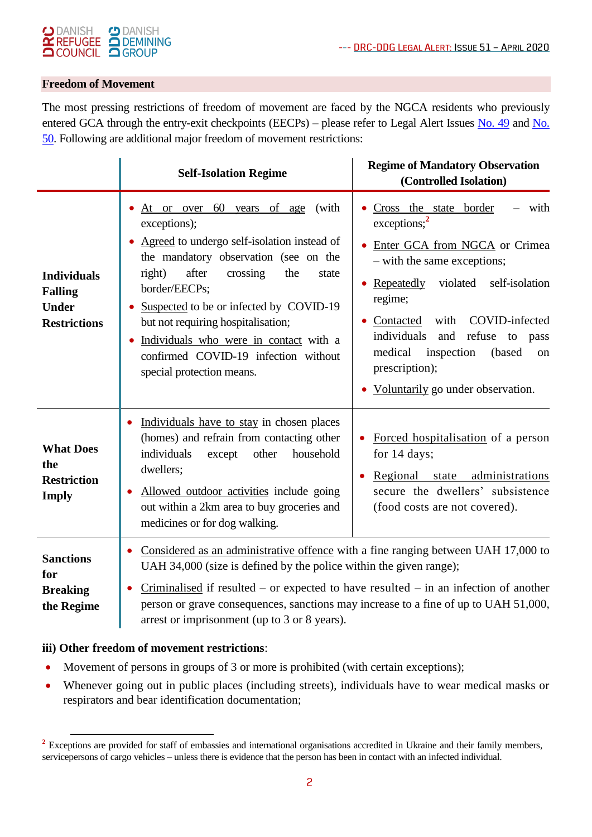#### **CD** DANISH  $\bigcirc$  DANISH DEMINING  $\tilde{\mathbf{r}}$  REFUGEE **QCOUNCIL QGROUP**

#### **Freedom of Movement**

The most pressing restrictions of freedom of movement are faced by the NGCA residents who previously entered GCA through the entry-exit checkpoints (EECPs) – please refer to Legal Alert Issues [No. 49](https://reliefweb.int/report/ukraine/drc-ddg-legal-alert-special-coronavirus-16-march-2020-enruuk) and No. [50.](https://reliefweb.int/report/ukraine/ukraine-drc-ddg-legal-alert-issue-50-february-march-2020-enruuk) Following are additional major freedom of movement restrictions:

|                                                                             | <b>Self-Isolation Regime</b>                                                                                                                                                                                                                                                                                                                                                                                      | <b>Regime of Mandatory Observation</b><br>(Controlled Isolation)                                                                                                                                                                                                                                                                                                      |
|-----------------------------------------------------------------------------|-------------------------------------------------------------------------------------------------------------------------------------------------------------------------------------------------------------------------------------------------------------------------------------------------------------------------------------------------------------------------------------------------------------------|-----------------------------------------------------------------------------------------------------------------------------------------------------------------------------------------------------------------------------------------------------------------------------------------------------------------------------------------------------------------------|
| <b>Individuals</b><br><b>Falling</b><br><b>Under</b><br><b>Restrictions</b> | 60<br>years of age<br>(with<br>At or over<br>exceptions);<br>Agreed to undergo self-isolation instead of<br>the mandatory observation (see on the<br>after<br>crossing<br>right)<br>the<br>state<br>border/EECPs;<br>Suspected to be or infected by COVID-19<br>but not requiring hospitalisation;<br>Individuals who were in contact with a<br>confirmed COVID-19 infection without<br>special protection means. | with<br>Cross the state border<br>exceptions; <sup>2</sup><br>• Enter GCA from NGCA or Crimea<br>- with the same exceptions;<br>violated<br>Repeatedly<br>self-isolation<br>regime;<br>with<br>COVID-infected<br>Contacted<br>individuals<br>and<br>refuse to<br>pass<br>inspection<br>medical<br>(based<br>on<br>prescription);<br>Voluntarily go under observation. |
| <b>What Does</b><br>the<br><b>Restriction</b><br><b>Imply</b>               | Individuals have to stay in chosen places<br>$\bullet$<br>(homes) and refrain from contacting other<br>individuals<br>other<br>household<br>except<br>dwellers;<br>Allowed outdoor activities include going<br>out within a 2km area to buy groceries and<br>medicines or for dog walking.                                                                                                                        | Forced hospitalisation of a person<br>for 14 days;<br>Regional state administrations<br>secure the dwellers' subsistence<br>(food costs are not covered).                                                                                                                                                                                                             |
| <b>Sanctions</b><br>for<br><b>Breaking</b><br>the Regime                    | Considered as an administrative offence with a fine ranging between UAH 17,000 to<br>UAH 34,000 (size is defined by the police within the given range);<br>$Criminalised$ if resulted – or expected to have resulted – in an infection of another<br>person or grave consequences, sanctions may increase to a fine of up to UAH 51,000,<br>arrest or imprisonment (up to 3 or 8 years).                          |                                                                                                                                                                                                                                                                                                                                                                       |

#### **iii) Other freedom of movement restrictions**:

-

- Movement of persons in groups of 3 or more is prohibited (with certain exceptions);
- Whenever going out in public places (including streets), individuals have to wear medical masks or respirators and bear identification documentation;

<sup>&</sup>lt;sup>2</sup> Exceptions are provided for staff of embassies and international organisations accredited in Ukraine and their family members, servicepersons of cargo vehicles – unless there is evidence that the person has been in contact with an infected individual.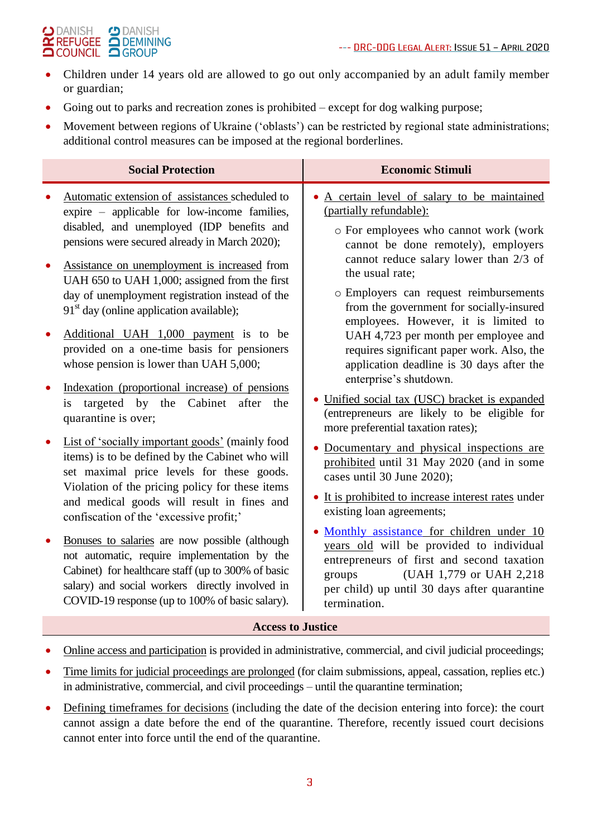#### $\bigcirc$  DANISH **CD** DANISH DEMINING  $\alpha$  REFUGEE **QCOUNCIL QGROUP**

- Children under 14 years old are allowed to go out only accompanied by an adult family member or guardian;
- Going out to parks and recreation zones is prohibited except for dog walking purpose;
- Movement between regions of Ukraine ('oblasts') can be restricted by regional state administrations; additional control measures can be imposed at the regional borderlines.

|                                                               | <b>Social Protection</b>                                                                                                                                                                                                                                                                                                                                                                                                                                                                                                                                                                                                                                                                                                                                                                                                                                                                                                                                                                                                                                                                                                                                                                                                                        | <b>Economic Stimuli</b>                                                                                                                                                                                                                                                                                                                                                                                                                                                                                                                                                                                                                                                                                                                                                                                                                                                                                                                                                                                                                                                                                          |
|---------------------------------------------------------------|-------------------------------------------------------------------------------------------------------------------------------------------------------------------------------------------------------------------------------------------------------------------------------------------------------------------------------------------------------------------------------------------------------------------------------------------------------------------------------------------------------------------------------------------------------------------------------------------------------------------------------------------------------------------------------------------------------------------------------------------------------------------------------------------------------------------------------------------------------------------------------------------------------------------------------------------------------------------------------------------------------------------------------------------------------------------------------------------------------------------------------------------------------------------------------------------------------------------------------------------------|------------------------------------------------------------------------------------------------------------------------------------------------------------------------------------------------------------------------------------------------------------------------------------------------------------------------------------------------------------------------------------------------------------------------------------------------------------------------------------------------------------------------------------------------------------------------------------------------------------------------------------------------------------------------------------------------------------------------------------------------------------------------------------------------------------------------------------------------------------------------------------------------------------------------------------------------------------------------------------------------------------------------------------------------------------------------------------------------------------------|
| $\bullet$<br>$\bullet$<br>$\bullet$<br>$\bullet$<br>$\bullet$ | Automatic extension of assistances scheduled to<br>expire – applicable for low-income families,<br>disabled, and unemployed (IDP benefits and<br>pensions were secured already in March 2020);<br>Assistance on unemployment is increased from<br>UAH 650 to UAH 1,000; assigned from the first<br>day of unemployment registration instead of the<br>$91st$ day (online application available);<br>Additional UAH 1,000 payment is to be<br>provided on a one-time basis for pensioners<br>whose pension is lower than UAH 5,000;<br>Indexation (proportional increase) of pensions<br>is targeted by the Cabinet<br>after the<br>quarantine is over;<br>List of 'socially important goods' (mainly food<br>items) is to be defined by the Cabinet who will<br>set maximal price levels for these goods.<br>Violation of the pricing policy for these items<br>and medical goods will result in fines and<br>confiscation of the 'excessive profit;'<br>Bonuses to salaries are now possible (although<br>not automatic, require implementation by the<br>Cabinet) for healthcare staff (up to 300% of basic<br>salary) and social workers directly involved in<br>COVID-19 response (up to 100% of basic salary).<br><b>Access to Justice</b> | A certain level of salary to be maintained<br>(partially refundable):<br>o For employees who cannot work (work<br>cannot be done remotely), employers<br>cannot reduce salary lower than 2/3 of<br>the usual rate;<br>o Employers can request reimbursements<br>from the government for socially-insured<br>employees. However, it is limited to<br>UAH 4,723 per month per employee and<br>requires significant paper work. Also, the<br>application deadline is 30 days after the<br>enterprise's shutdown.<br>• Unified social tax (USC) bracket is expanded<br>(entrepreneurs are likely to be eligible for<br>more preferential taxation rates);<br>• Documentary and physical inspections are<br>prohibited until 31 May 2020 (and in some<br>cases until 30 June 2020);<br>• It is prohibited to increase interest rates under<br>existing loan agreements;<br>• Monthly assistance for children under 10<br>years old will be provided to individual<br>entrepreneurs of first and second taxation<br>(UAH 1,779 or UAH 2,218)<br>groups<br>per child) up until 30 days after quarantine<br>termination. |
|                                                               |                                                                                                                                                                                                                                                                                                                                                                                                                                                                                                                                                                                                                                                                                                                                                                                                                                                                                                                                                                                                                                                                                                                                                                                                                                                 |                                                                                                                                                                                                                                                                                                                                                                                                                                                                                                                                                                                                                                                                                                                                                                                                                                                                                                                                                                                                                                                                                                                  |

- Online access and participation is provided in administrative, commercial, and civil judicial proceedings;
- Time limits for judicial proceedings are prolonged (for claim submissions, appeal, cassation, replies etc.) in administrative, commercial, and civil proceedings – until the quarantine termination;
- Defining timeframes for decisions (including the date of the decision entering into force): the court cannot assign a date before the end of the quarantine. Therefore, recently issued court decisions cannot enter into force until the end of the quarantine.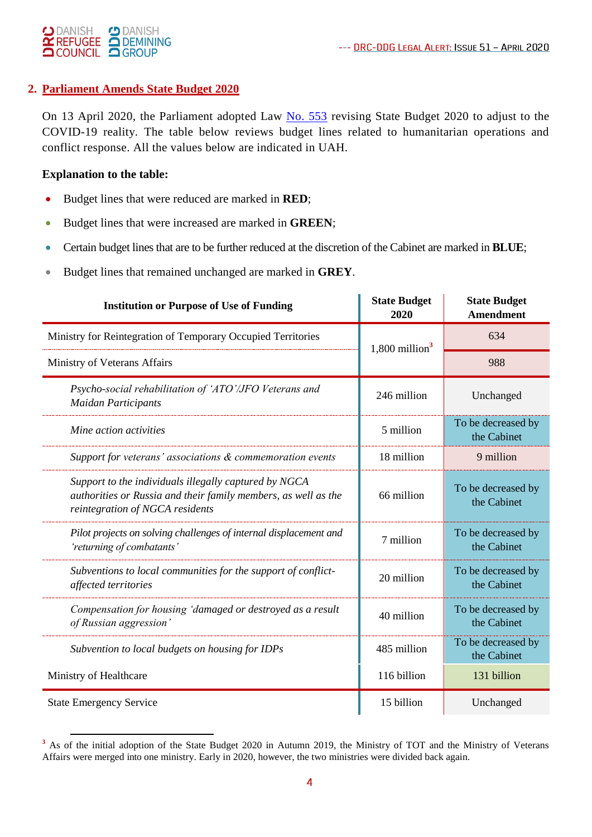

### **2. Parliament Amends State Budget 2020**

On 13 April 2020, the Parliament adopted Law [No. 553](https://zakon.rada.gov.ua/laws/show/553-IX) revising State Budget 2020 to adjust to the COVID-19 reality. The table below reviews budget lines related to humanitarian operations and conflict response. All the values below are indicated in UAH.

### **Explanation to the table:**

- Budget lines that were reduced are marked in **RED**;
- Budget lines that were increased are marked in **GREEN**;
- Certain budget lines that are to be further reduced at the discretion of the Cabinet are marked in **BLUE**;
- Budget lines that remained unchanged are marked in **GREY**.

| <b>Institution or Purpose of Use of Funding</b>                                                                                                            | <b>State Budget</b><br>2020  | <b>State Budget</b><br><b>Amendment</b> |
|------------------------------------------------------------------------------------------------------------------------------------------------------------|------------------------------|-----------------------------------------|
| Ministry for Reintegration of Temporary Occupied Territories                                                                                               | $1,800$ million <sup>3</sup> | 634                                     |
| Ministry of Veterans Affairs                                                                                                                               |                              | 988                                     |
| Psycho-social rehabilitation of 'ATO'/JFO Veterans and<br><b>Maidan Participants</b>                                                                       | 246 million                  | Unchanged                               |
| Mine action activities                                                                                                                                     | 5 million                    | To be decreased by<br>the Cabinet       |
| Support for veterans' associations & commemoration events                                                                                                  | 18 million                   | 9 million                               |
| Support to the individuals illegally captured by NGCA<br>authorities or Russia and their family members, as well as the<br>reintegration of NGCA residents | 66 million                   | To be decreased by<br>the Cabinet       |
| Pilot projects on solving challenges of internal displacement and<br>'returning of combatants'                                                             | 7 million                    | To be decreased by<br>the Cabinet       |
| Subventions to local communities for the support of conflict-<br>affected territories                                                                      | 20 million                   | To be decreased by<br>the Cabinet       |
| Compensation for housing 'damaged or destroyed as a result<br>of Russian aggression'                                                                       | 40 million                   | To be decreased by<br>the Cabinet       |
| Subvention to local budgets on housing for IDPs                                                                                                            | 485 million                  | To be decreased by<br>the Cabinet       |
| Ministry of Healthcare                                                                                                                                     | 116 billion                  | 131 billion                             |
| <b>State Emergency Service</b>                                                                                                                             | 15 billion                   | Unchanged                               |

<sup>-</sup><sup>3</sup> As of the initial adoption of the State Budget 2020 in Autumn 2019, the Ministry of TOT and the Ministry of Veterans Affairs were merged into one ministry. Early in 2020, however, the two ministries were divided back again.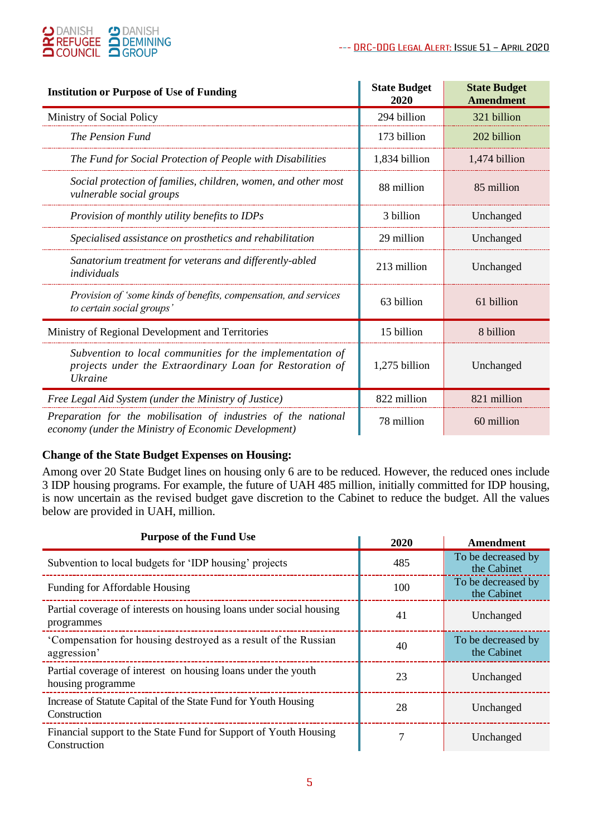

| <b>Institution or Purpose of Use of Funding</b>                                                                                  | <b>State Budget</b><br>2020 | <b>State Budget</b><br><b>Amendment</b> |
|----------------------------------------------------------------------------------------------------------------------------------|-----------------------------|-----------------------------------------|
| Ministry of Social Policy                                                                                                        | 294 billion                 | 321 billion                             |
| The Pension Fund                                                                                                                 | 173 billion                 | 202 billion                             |
| The Fund for Social Protection of People with Disabilities                                                                       | 1,834 billion               | 1,474 billion                           |
| Social protection of families, children, women, and other most<br>vulnerable social groups                                       | 88 million                  | 85 million                              |
| Provision of monthly utility benefits to IDPs                                                                                    | 3 billion                   | Unchanged                               |
| Specialised assistance on prosthetics and rehabilitation                                                                         | 29 million                  | Unchanged                               |
| Sanatorium treatment for veterans and differently-abled<br>individuals                                                           | 213 million                 | Unchanged                               |
| Provision of 'some kinds of benefits, compensation, and services<br>to certain social groups'                                    | 63 billion                  | 61 billion                              |
| Ministry of Regional Development and Territories                                                                                 | 15 billion                  | 8 billion                               |
| Subvention to local communities for the implementation of<br>projects under the Extraordinary Loan for Restoration of<br>Ukraine | 1,275 billion               | Unchanged                               |
| Free Legal Aid System (under the Ministry of Justice)                                                                            | 822 million                 | 821 million                             |
| Preparation for the mobilisation of industries of the national<br>economy (under the Ministry of Economic Development)           | 78 million                  | 60 million                              |

#### **Change of the State Budget Expenses on Housing:**

Among over 20 State Budget lines on housing only 6 are to be reduced. However, the reduced ones include 3 IDP housing programs. For example, the future of UAH 485 million, initially committed for IDP housing, is now uncertain as the revised budget gave discretion to the Cabinet to reduce the budget. All the values below are provided in UAH, million.

| <b>Purpose of the Fund Use</b>                                                     | 2020 | Amendment                         |
|------------------------------------------------------------------------------------|------|-----------------------------------|
| Subvention to local budgets for 'IDP housing' projects                             | 485  | To be decreased by<br>the Cabinet |
| Funding for Affordable Housing                                                     | 100  | To be decreased by<br>the Cabinet |
| Partial coverage of interests on housing loans under social housing<br>programmes  | 41   | Unchanged                         |
| Compensation for housing destroyed as a result of the Russian<br>aggression'       | 40   | To be decreased by<br>the Cabinet |
| Partial coverage of interest on housing loans under the youth<br>housing programme | 23   | Unchanged                         |
| Increase of Statute Capital of the State Fund for Youth Housing<br>Construction    | 28   | Unchanged                         |
| Financial support to the State Fund for Support of Youth Housing<br>Construction   | 7    | Unchanged                         |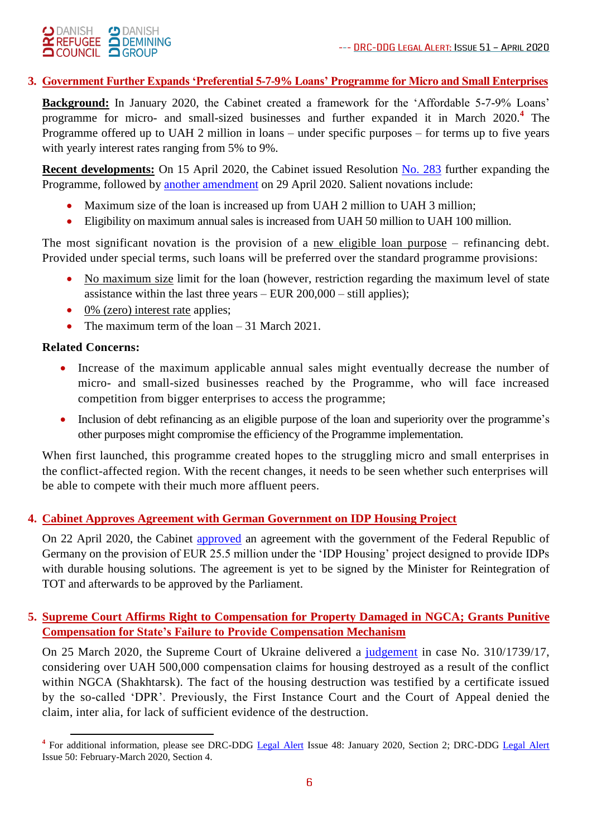# O DANISH O DANISH **OCOUNCIL OGROUP**

# **3. Government Further Expands 'Preferential 5-7-9% Loans' Programme for Micro and Small Enterprises**

**Background:** In January 2020, the Cabinet created a framework for the 'Affordable 5-7-9% Loans' programme for micro- and small-sized businesses and further expanded it in March 2020.**<sup>4</sup>** The Programme offered up to UAH 2 million in loans – under specific purposes – for terms up to five years with yearly interest rates ranging from 5% to 9%.

**Recent developments:** On 15 April 2020, the Cabinet issued [Resolution No. 283](https://www.kmu.gov.ua/npas/pro-vnesennya-zmin-do-poryadku-nadannya-finansovoyi-derzhavnoyi-pidtrimki-subyektam-mikropidpriyemnictva-ta-malogo-pidpriyemnictva-i150420-283) further expanding the Programme, followed by [another amendment](https://www.kmu.gov.ua/news/uryad-rozshiriv-mozhlivosti-programi-dostupni-krediti-5-7-9) on 29 April 2020. Salient novations include:

- Maximum size of the loan is increased up from UAH 2 million to UAH 3 million;
- Eligibility on maximum annual sales is increased from UAH 50 million to UAH 100 million.

The most significant novation is the provision of a new eligible loan purpose – refinancing debt. Provided under special terms, such loans will be preferred over the standard programme provisions:

- No maximum size limit for the loan (however, restriction regarding the maximum level of state assistance within the last three years – EUR 200,000 – still applies);
- $\bullet$  0% (zero) interest rate applies;
- The maximum term of the loan  $-31$  March 2021.

# **Related Concerns:**

- Increase of the maximum applicable annual sales might eventually decrease the number of micro- and small-sized businesses reached by the Programme, who will face increased competition from bigger enterprises to access the programme;
- Inclusion of debt refinancing as an eligible purpose of the loan and superiority over the programme's other purposes might compromise the efficiency of the Programme implementation.

When first launched, this programme created hopes to the struggling micro and small enterprises in the conflict-affected region. With the recent changes, it needs to be seen whether such enterprises will be able to compete with their much more affluent peers.

# **4. Cabinet Approves Agreement with German Government on IDP Housing Project**

On 22 April 2020, the Cabinet [approved](https://www.kmu.gov.ua/news/nimechchina-vidilit-ukrayini-255-mln-yevro-na-budivnictvo-zhitla-dlya-vnutrishno-peremishchenih-osib) an agreement with the government of the Federal Republic of Germany on the provision of EUR 25.5 million under the 'IDP Housing' project designed to provide IDPs with durable housing solutions. The agreement is yet to be signed by the Minister for Reintegration of TOT and afterwards to be approved by the Parliament.

## **5. Supreme Court Affirms Right to Compensation for Property Damaged in NGCA; Grants Punitive Compensation for State's Failure to Provide Compensation Mechanism**

On 25 March 2020, the Supreme Court of Ukraine delivered a [judgement](http://reyestr.court.gov.ua/Review/88575080) in case No. 310/1739/17, considering over UAH 500,000 compensation claims for housing destroyed as a result of the conflict within NGCA (Shakhtarsk). The fact of the housing destruction was testified by a certificate issued by the so-called 'DPR'. Previously, the First Instance Court and the Court of Appeal denied the claim, inter alia, for lack of sufficient evidence of the destruction.

<sup>&</sup>lt;sup>4</sup> For additional information, please see DRC-DDG [Legal Alert](https://reliefweb.int/report/ukraine/ukraine-drc-ddg-legal-alert-issue-50-february-march-2020-enruuk) Issue 48: January 2020, Section 2; DRC-DDG Legal Alert Issue 50: February-March 2020, Section 4.